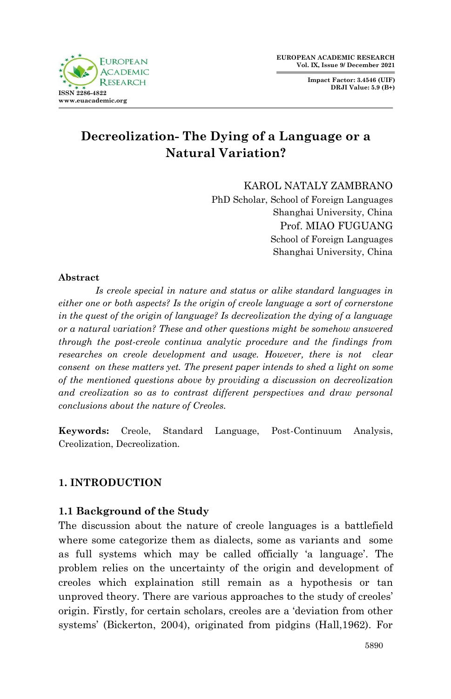**Impact Factor: 3.4546 (UIF) DRJI Value: 5.9 (B+)**



# **Decreolization- The Dying of a Language or a Natural Variation?**

KAROL NATALY ZAMBRANO

PhD Scholar, School of Foreign Languages Shanghai University, China Prof. MIAO FUGUANG School of Foreign Languages Shanghai University, China

#### **Abstract**

*Is creole special in nature and status or alike standard languages in either one or both aspects? Is the origin of creole language a sort of cornerstone in the quest of the origin of language? Is decreolization the dying of a language or a natural variation? These and other questions might be somehow answered through the post-creole continua analytic procedure and the findings from researches on creole development and usage. However, there is not clear consent on these matters yet. The present paper intends to shed a light on some of the mentioned questions above by providing a discussion on decreolization and creolization so as to contrast different perspectives and draw personal conclusions about the nature of Creoles.* 

**Keywords:** Creole, Standard Language, Post-Continuum Analysis, Creolization, Decreolization.

# **1. INTRODUCTION**

# **1.1 Background of the Study**

The discussion about the nature of creole languages is a battlefield where some categorize them as dialects, some as variants and some as full systems which may be called officially "a language". The problem relies on the uncertainty of the origin and development of creoles which explaination still remain as a hypothesis or tan unproved theory. There are various approaches to the study of creoles" origin. Firstly, for certain scholars, creoles are a "deviation from other systems" (Bickerton, 2004), originated from pidgins (Hall,1962). For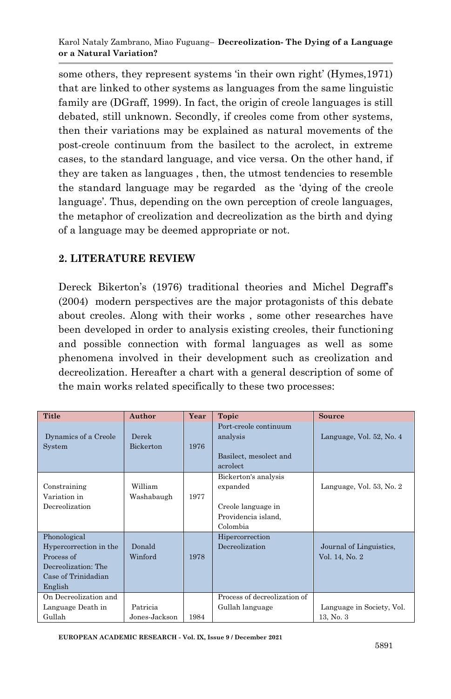some others, they represent systems 'in their own right' (Hymes, 1971) that are linked to other systems as languages from the same linguistic family are (DGraff, 1999). In fact, the origin of creole languages is still debated, still unknown. Secondly, if creoles come from other systems, then their variations may be explained as natural movements of the post-creole continuum from the basilect to the acrolect, in extreme cases, to the standard language, and vice versa. On the other hand, if they are taken as languages , then, the utmost tendencies to resemble the standard language may be regarded as the "dying of the creole language'. Thus, depending on the own perception of creole languages, the metaphor of creolization and decreolization as the birth and dying of a language may be deemed appropriate or not.

# **2. LITERATURE REVIEW**

Dereck Bikerton's (1976) traditional theories and Michel Degraff's (2004) modern perspectives are the major protagonists of this debate about creoles. Along with their works , some other researches have been developed in order to analysis existing creoles, their functioning and possible connection with formal languages as well as some phenomena involved in their development such as creolization and decreolization. Hereafter a chart with a general description of some of the main works related specifically to these two processes:

| <b>Title</b>                                                                                                  | Author                    | Year | Topic                                                                                     | <b>Source</b>                             |
|---------------------------------------------------------------------------------------------------------------|---------------------------|------|-------------------------------------------------------------------------------------------|-------------------------------------------|
| Dynamics of a Creole<br>System                                                                                | Derek<br>Bickerton        | 1976 | Port-creole continuum<br>analysis<br>Basilect, mesolect and<br>acrolect                   | Language, Vol. 52, No. 4                  |
| Constraining<br>Variation in<br>Decreolization                                                                | William<br>Washabaugh     | 1977 | Bickerton's analysis<br>expanded<br>Creole language in<br>Providencia island,<br>Colombia | Language, Vol. 53, No. 2                  |
| Phonological<br>Hypercorrection in the<br>Process of<br>Decreolization: The<br>Case of Trinidadian<br>English | Donald<br>Winford         | 1978 | Hipercorrection<br>Decreolization                                                         | Journal of Linguistics,<br>Vol. 14, No. 2 |
| On Decreolization and<br>Language Death in<br>Gullah                                                          | Patricia<br>Jones-Jackson | 1984 | Process of decreolization of<br>Gullah language                                           | Language in Society, Vol.<br>13, No. 3    |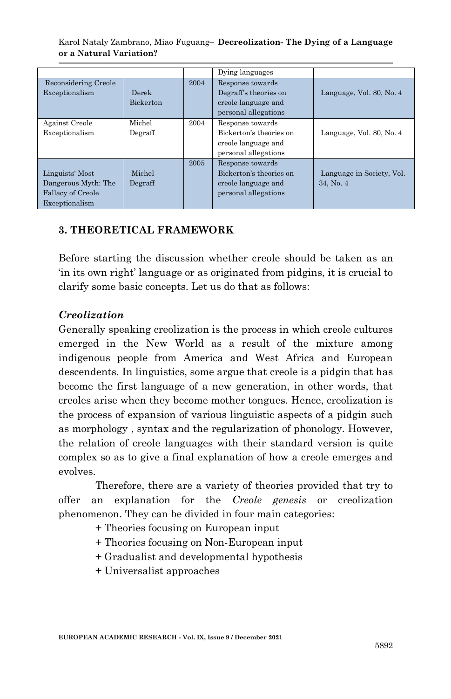Karol Nataly Zambrano, Miao Fuguang– **Decreolization- The Dying of a Language or a Natural Variation?**

|                          |                  |      | Dying languages                           |                           |
|--------------------------|------------------|------|-------------------------------------------|---------------------------|
| Reconsidering Creole     | Derek            | 2004 | Response towards<br>Degraff's theories on | Language, Vol. 80, No. 4  |
| Exceptionalism           | <b>Bickerton</b> |      | creole language and                       |                           |
|                          |                  |      | personal allegations                      |                           |
| Against Creole           | Michel           | 2004 | Response towards                          |                           |
| Exceptionalism           | Degraff          |      | Bickerton's theories on                   | Language, Vol. 80, No. 4  |
|                          |                  |      | creole language and                       |                           |
|                          |                  |      | personal allegations                      |                           |
|                          |                  | 2005 | Response towards                          |                           |
| Linguists' Most          | Michel           |      | Bickerton's theories on                   | Language in Society, Vol. |
| Dangerous Myth: The      | Degraff          |      | creole language and                       | 34. No. 4                 |
| <b>Fallacy of Creole</b> |                  |      | personal allegations                      |                           |
| Exceptionalism           |                  |      |                                           |                           |

#### **3. THEORETICAL FRAMEWORK**

Before starting the discussion whether creole should be taken as an in its own right' language or as originated from pidgins, it is crucial to clarify some basic concepts. Let us do that as follows:

#### *Creolization*

Generally speaking creolization is the process in which creole cultures emerged in the New World as a result of the mixture among indigenous people from America and West Africa and European descendents. In linguistics, some argue that creole is a pidgin that has become the first language of a new generation, in other words, that creoles arise when they become mother tongues. Hence, creolization is the process of expansion of various linguistic aspects of a pidgin such as morphology , syntax and the regularization of phonology. However, the relation of creole languages with their standard version is quite complex so as to give a final explanation of how a creole emerges and evolves.

Therefore, there are a variety of theories provided that try to offer an explanation for the *Creole genesis* or creolization phenomenon. They can be divided in four main categories:

- + Theories focusing on European input
- + Theories focusing on Non-European input
- + Gradualist and developmental hypothesis
- + Universalist approaches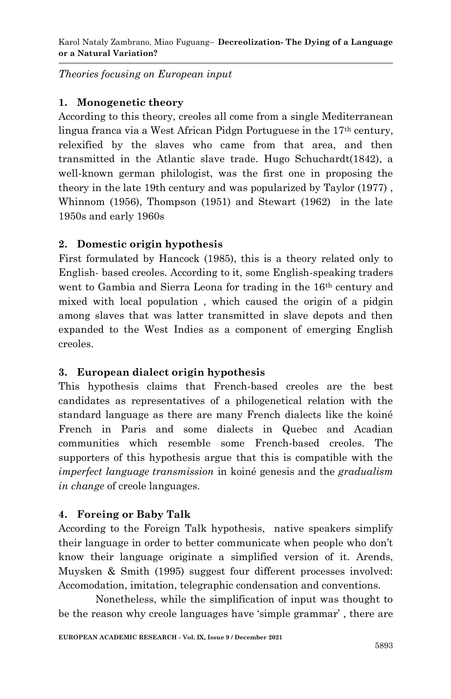*Theories focusing on European input*

# **1. Monogenetic theory**

According to this theory, creoles all come from a single Mediterranean lingua franca via a West African Pidgn Portuguese in the 17th century, relexified by the slaves who came from that area, and then transmitted in the Atlantic slave trade. Hugo Schuchardt(1842), a well-known german philologist, was the first one in proposing the theory in the late 19th century and was popularized by Taylor (1977) , Whinnom (1956), Thompson (1951) and Stewart (1962) in the late 1950s and early 1960s

# **2. Domestic origin hypothesis**

First formulated by Hancock (1985), this is a theory related only to English- based creoles. According to it, some English-speaking traders went to Gambia and Sierra Leona for trading in the 16<sup>th</sup> century and mixed with local population , which caused the origin of a pidgin among slaves that was latter transmitted in slave depots and then expanded to the West Indies as a component of emerging English creoles.

# **3. European dialect origin hypothesis**

This hypothesis claims that French-based creoles are the best candidates as representatives of a philogenetical relation with the standard language as there are many French dialects like the koiné French in Paris and some dialects in Quebec and Acadian communities which resemble some French-based creoles. The supporters of this hypothesis argue that this is compatible with the *imperfect language transmission* in koiné genesis and the *gradualism in change* of creole languages.

# **4. Foreing or Baby Talk**

According to the Foreign Talk hypothesis, native speakers simplify their language in order to better communicate when people who don"t know their language originate a simplified version of it. Arends, Muysken & Smith (1995) suggest four different processes involved: Accomodation, imitation, telegraphic condensation and conventions.

 Nonetheless, while the simplification of input was thought to be the reason why creole languages have 'simple grammar', there are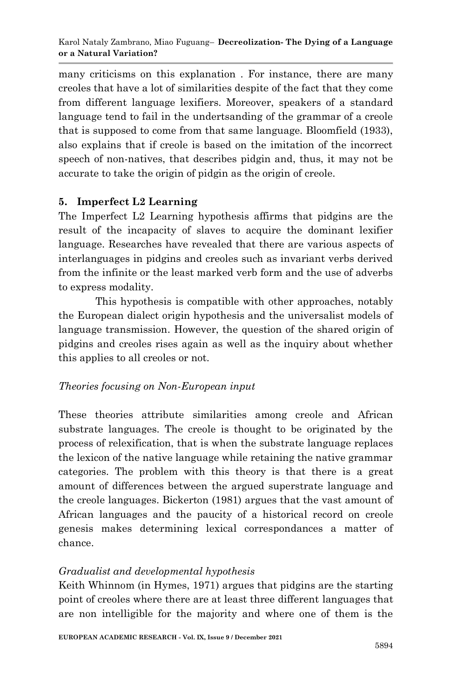many criticisms on this explanation . For instance, there are many creoles that have a lot of similarities despite of the fact that they come from different language lexifiers. Moreover, speakers of a standard language tend to fail in the undertsanding of the grammar of a creole that is supposed to come from that same language. Bloomfield (1933), also explains that if creole is based on the imitation of the incorrect speech of non-natives, that describes pidgin and, thus, it may not be accurate to take the origin of pidgin as the origin of creole.

# **5. Imperfect L2 Learning**

The Imperfect L2 Learning hypothesis affirms that pidgins are the result of the incapacity of slaves to acquire the dominant lexifier language. Researches have revealed that there are various aspects of interlanguages in pidgins and creoles such as invariant verbs derived from the infinite or the least marked verb form and the use of adverbs to express modality.

This hypothesis is compatible with other approaches, notably the European dialect origin hypothesis and the universalist models of language transmission. However, the question of the shared origin of pidgins and creoles rises again as well as the inquiry about whether this applies to all creoles or not.

# *Theories focusing on Non-European input*

These theories attribute similarities among creole and African substrate languages. The creole is thought to be originated by the process of relexification, that is when the substrate language replaces the lexicon of the native language while retaining the native grammar categories. The problem with this theory is that there is a great amount of differences between the argued superstrate language and the creole languages. Bickerton (1981) argues that the vast amount of African languages and the paucity of a historical record on creole genesis makes determining lexical correspondances a matter of chance.

# *Gradualist and developmental hypothesis*

Keith Whinnom (in Hymes, 1971) argues that pidgins are the starting point of creoles where there are at least three different languages that are non intelligible for the majority and where one of them is the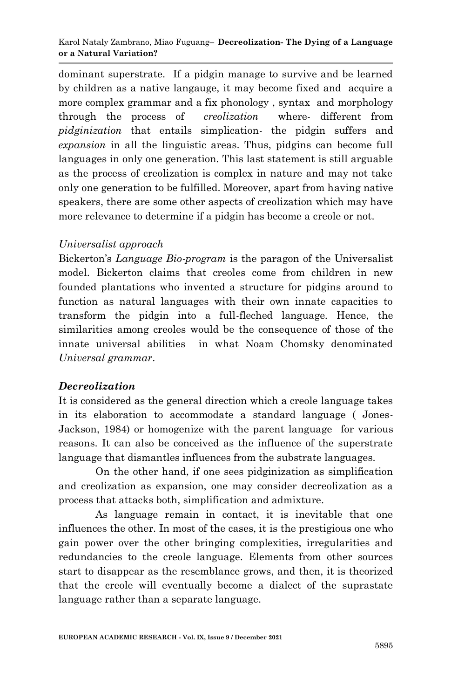dominant superstrate. If a pidgin manage to survive and be learned by children as a native langauge, it may become fixed and acquire a more complex grammar and a fix phonology , syntax and morphology through the process of *creolization* where- different from *pidginization* that entails simplication- the pidgin suffers and *expansion* in all the linguistic areas. Thus, pidgins can become full languages in only one generation. This last statement is still arguable as the process of creolization is complex in nature and may not take only one generation to be fulfilled. Moreover, apart from having native speakers, there are some other aspects of creolization which may have more relevance to determine if a pidgin has become a creole or not.

### *Universalist approach*

Bickerton"s *Language Bio-program* is the paragon of the Universalist model. Bickerton claims that creoles come from children in new founded plantations who invented a structure for pidgins around to function as natural languages with their own innate capacities to transform the pidgin into a full-fleched language. Hence, the similarities among creoles would be the consequence of those of the innate universal abilities in what Noam Chomsky denominated *Universal grammar*.

# *Decreolization*

It is considered as the general direction which a creole language takes in its elaboration to accommodate a standard language ( Jones-Jackson, 1984) or homogenize with the parent language for various reasons. It can also be conceived as the influence of the superstrate language that dismantles influences from the substrate languages.

 On the other hand, if one sees pidginization as simplification and creolization as expansion, one may consider decreolization as a process that attacks both, simplification and admixture.

As language remain in contact, it is inevitable that one influences the other. In most of the cases, it is the prestigious one who gain power over the other bringing complexities, irregularities and redundancies to the creole language. Elements from other sources start to disappear as the resemblance grows, and then, it is theorized that the creole will eventually become a dialect of the suprastate language rather than a separate language.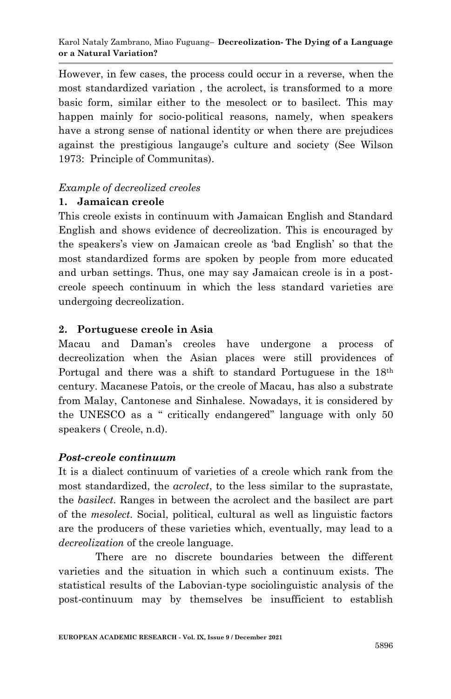However, in few cases, the process could occur in a reverse, when the most standardized variation , the acrolect, is transformed to a more basic form, similar either to the mesolect or to basilect. This may happen mainly for socio-political reasons, namely, when speakers have a strong sense of national identity or when there are prejudices against the prestigious langauge's culture and society (See Wilson) 1973: Principle of Communitas).

#### *Example of decreolized creoles*

### **1. Jamaican creole**

This creole exists in continuum with Jamaican English and Standard English and shows evidence of decreolization. This is encouraged by the speakers"s view on Jamaican creole as "bad English" so that the most standardized forms are spoken by people from more educated and urban settings. Thus, one may say Jamaican creole is in a postcreole speech continuum in which the less standard varieties are undergoing decreolization.

# **2. Portuguese creole in Asia**

Macau and Daman"s creoles have undergone a process of decreolization when the Asian places were still providences of Portugal and there was a shift to standard Portuguese in the 18th century. Macanese Patois, or the creole of Macau, has also a substrate from Malay, Cantonese and Sinhalese. Nowadays, it is considered by the UNESCO as a " critically endangered" language with only 50 speakers ( Creole, n.d).

# *Post-creole continuum*

It is a dialect continuum of varieties of a creole which rank from the most standardized, the *acrolect*, to the less similar to the suprastate, the *basilect*. Ranges in between the acrolect and the basilect are part of the *mesolect.* Social, political, cultural as well as linguistic factors are the producers of these varieties which, eventually, may lead to a *decreolization* of the creole language.

 There are no discrete boundaries between the different varieties and the situation in which such a continuum exists. The statistical results of the Labovian-type sociolinguistic analysis of the post-continuum may by themselves be insufficient to establish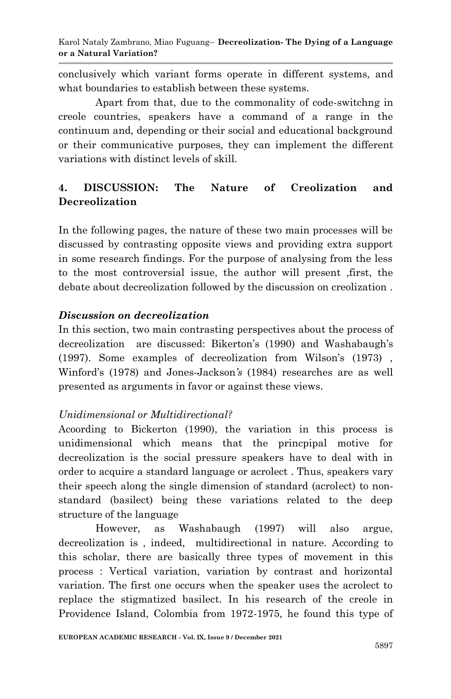conclusively which variant forms operate in different systems, and what boundaries to establish between these systems.

 Apart from that, due to the commonality of code-switchng in creole countries, speakers have a command of a range in the continuum and, depending or their social and educational background or their communicative purposes, they can implement the different variations with distinct levels of skill.

# **4. DISCUSSION: The Nature of Creolization and Decreolization**

In the following pages, the nature of these two main processes will be discussed by contrasting opposite views and providing extra support in some research findings. For the purpose of analysing from the less to the most controversial issue, the author will present ,first, the debate about decreolization followed by the discussion on creolization .

# *Discussion on decreolization*

In this section, two main contrasting perspectives about the process of decreolization are discussed: Bikerton's (1990) and Washabaugh's (1997). Some examples of decreolization from Wilson"s (1973) , Winford"s (1978) and Jones-Jackson*'s* (1984) researches are as well presented as arguments in favor or against these views.

# *Unidimensional or Multidirectional?*

Acoording to Bickerton (1990), the variation in this process is unidimensional which means that the princpipal motive for decreolization is the social pressure speakers have to deal with in order to acquire a standard language or acrolect . Thus, speakers vary their speech along the single dimension of standard (acrolect) to nonstandard (basilect) being these variations related to the deep structure of the language

 However, as Washabaugh (1997) will also argue, decreolization is , indeed, multidirectional in nature. According to this scholar, there are basically three types of movement in this process : Vertical variation, variation by contrast and horizontal variation. The first one occurs when the speaker uses the acrolect to replace the stigmatized basilect. In his research of the creole in Providence Island, Colombia from 1972-1975, he found this type of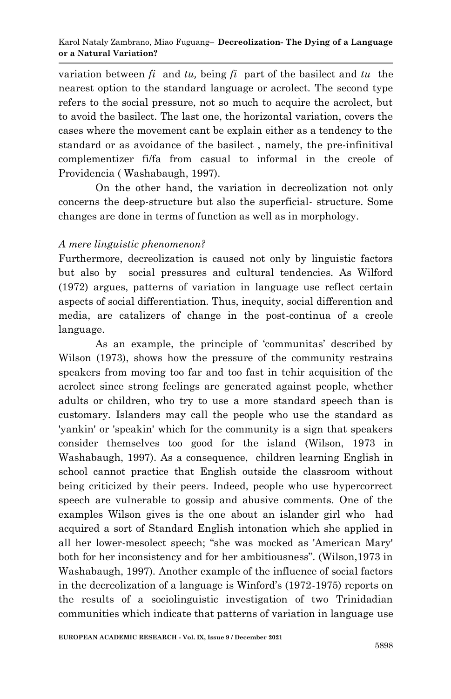variation between  $f_i$  and  $tu$ , being  $f_i$  part of the basilect and  $tu$  the nearest option to the standard language or acrolect. The second type refers to the social pressure, not so much to acquire the acrolect, but to avoid the basilect. The last one, the horizontal variation, covers the cases where the movement cant be explain either as a tendency to the standard or as avoidance of the basilect , namely, the pre-infinitival complementizer fi/fa from casual to informal in the creole of Providencia ( Washabaugh, 1997).

 On the other hand, the variation in decreolization not only concerns the deep-structure but also the superficial- structure. Some changes are done in terms of function as well as in morphology.

### *A mere linguistic phenomenon?*

Furthermore, decreolization is caused not only by linguistic factors but also by social pressures and cultural tendencies. As Wilford (1972) argues, patterns of variation in language use reflect certain aspects of social differentiation. Thus, inequity, social differention and media, are catalizers of change in the post-continua of a creole language.

As an example, the principle of 'communitas' described by Wilson (1973), shows how the pressure of the community restrains speakers from moving too far and too fast in tehir acquisition of the acrolect since strong feelings are generated against people, whether adults or children, who try to use a more standard speech than is customary. Islanders may call the people who use the standard as 'yankin' or 'speakin' which for the community is a sign that speakers consider themselves too good for the island (Wilson, 1973 in Washabaugh, 1997). As a consequence, children learning English in school cannot practice that English outside the classroom without being criticized by their peers. Indeed, people who use hypercorrect speech are vulnerable to gossip and abusive comments. One of the examples Wilson gives is the one about an islander girl who had acquired a sort of Standard English intonation which she applied in all her lower-mesolect speech; "she was mocked as 'American Mary' both for her inconsistency and for her ambitiousness". (Wilson,1973 in Washabaugh, 1997). Another example of the influence of social factors in the decreolization of a language is Winford"s (1972-1975) reports on the results of a sociolinguistic investigation of two Trinidadian communities which indicate that patterns of variation in language use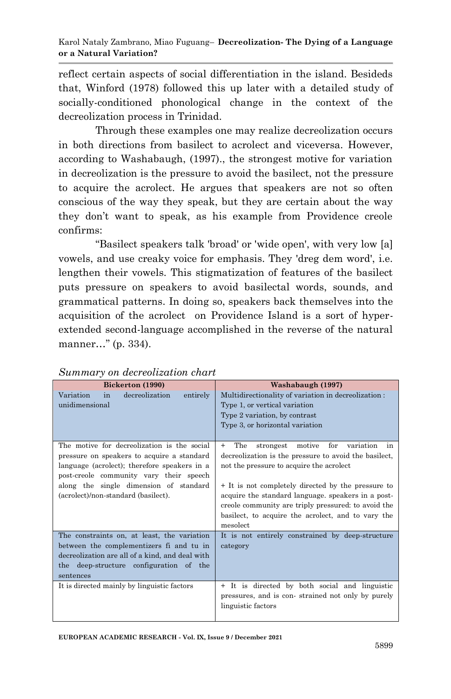reflect certain aspects of social differentiation in the island. Besideds that, Winford (1978) followed this up later with a detailed study of socially-conditioned phonological change in the context of the decreolization process in Trinidad.

 Through these examples one may realize decreolization occurs in both directions from basilect to acrolect and viceversa. However, according to Washabaugh, (1997)., the strongest motive for variation in decreolization is the pressure to avoid the basilect, not the pressure to acquire the acrolect. He argues that speakers are not so often conscious of the way they speak, but they are certain about the way they don"t want to speak, as his example from Providence creole confirms:

"Basilect speakers talk 'broad' or 'wide open', with very low [a] vowels, and use creaky voice for emphasis. They 'dreg dem word', i.e. lengthen their vowels. This stigmatization of features of the basilect puts pressure on speakers to avoid basilectal words, sounds, and grammatical patterns. In doing so, speakers back themselves into the acquisition of the acrolect on Providence Island is a sort of hyperextended second-language accomplished in the reverse of the natural manner…" (p. 334).

| Bickerton (1990)                                                                                                                                                                                                                                                      | Washabaugh (1997)                                                                                                                                                                                                                                                                                                                                                                                        |  |
|-----------------------------------------------------------------------------------------------------------------------------------------------------------------------------------------------------------------------------------------------------------------------|----------------------------------------------------------------------------------------------------------------------------------------------------------------------------------------------------------------------------------------------------------------------------------------------------------------------------------------------------------------------------------------------------------|--|
| decreolization<br>Variation<br>in<br>entirely<br>unidimensional                                                                                                                                                                                                       | Multidirectionality of variation in decreolization:<br>Type 1, or vertical variation<br>Type 2 variation, by contrast<br>Type 3, or horizontal variation                                                                                                                                                                                                                                                 |  |
| The motive for decreolization is the social<br>pressure on speakers to acquire a standard<br>language (acrolect); therefore speakers in a<br>post-creole community vary their speech<br>along the single dimension of standard<br>(acrolect)/non-standard (basilect). | The<br>variation<br>strongest<br>motive<br>for<br>$^{+}$<br>in<br>decrealization is the pressure to avoid the basilect,<br>not the pressure to acquire the acrolect<br>+ It is not completely directed by the pressure to<br>acquire the standard language. speakers in a post-<br>creole community are triply pressured: to avoid the<br>basilect, to acquire the acrolect, and to vary the<br>mesolect |  |
| The constraints on, at least, the variation<br>between the complementizers fi and tu in<br>decreolization are all of a kind, and deal with<br>the deep-structure configuration of the<br>sentences                                                                    | It is not entirely constrained by deep-structure<br>category                                                                                                                                                                                                                                                                                                                                             |  |
| It is directed mainly by linguistic factors                                                                                                                                                                                                                           | + It is directed by both social and linguistic<br>pressures, and is con-strained not only by purely<br>linguistic factors                                                                                                                                                                                                                                                                                |  |

#### *Summary on decreolization chart*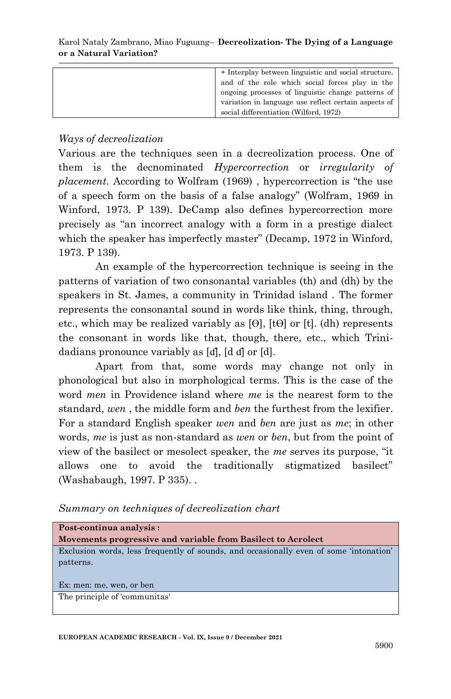| + Interplay between linguistic and social structure. |
|------------------------------------------------------|
| and of the role which social forces play in the      |
| ongoing processes of linguistic change patterns of   |
| variation in language use reflect certain aspects of |
| social differentiation (Wilford, 1972)               |

*Ways of decreolization*

Various are the techniques seen in a decreolization process. One of them is the decnominated *Hypercorrection* or *irregularity of placement.* According to Wolfram (1969) , hypercorrection is "the use of a speech form on the basis of a false analogy" (Wolfram, 1969 in Winford, 1973. P 139). DeCamp also defines hypercorrection more precisely as "an incorrect analogy with a form in a prestige dialect which the speaker has imperfectly master" (Decamp, 1972 in Winford, 1973. P 139).

 An example of the hypercorrection technique is seeing in the patterns of variation of two consonantal variables (th) and (dh) by the speakers in St. James, a community in Trinidad island . The former represents the consonantal sound in words like think, thing, through, etc., which may be realized variably as [ϴ], [tϴ] or [t]. (dh) represents the consonant in words like that, though, there, etc., which Trinidadians pronounce variably as [ɗ], [d ɗ] or [d].

 Apart from that, some words may change not only in phonological but also in morphological terms. This is the case of the word *men* in Providence island where *me* is the nearest form to the standard, *wen* , the middle form and *ben* the furthest from the lexifier. For a standard English speaker *wen* and *ben* are just as *me*; in other words, *me* is just as non-standard as *wen* or *ben*, but from the point of view of the basilect or mesolect speaker, the *me* serves its purpose, "it allows one to avoid the traditionally stigmatized basilect" (Washabaugh, 1997. P 335). .

*Summary on techniques of decreolization chart* 

| Post-continua analysis:                                                                |  |  |  |
|----------------------------------------------------------------------------------------|--|--|--|
| Movements progressive and variable from Basilect to Acrolect                           |  |  |  |
| Exclusion words, less frequently of sounds, and occasionally even of some 'intonation' |  |  |  |
| patterns.                                                                              |  |  |  |
|                                                                                        |  |  |  |
| Ex: men: me, wen, or ben                                                               |  |  |  |
| The principle of 'communitas'                                                          |  |  |  |
|                                                                                        |  |  |  |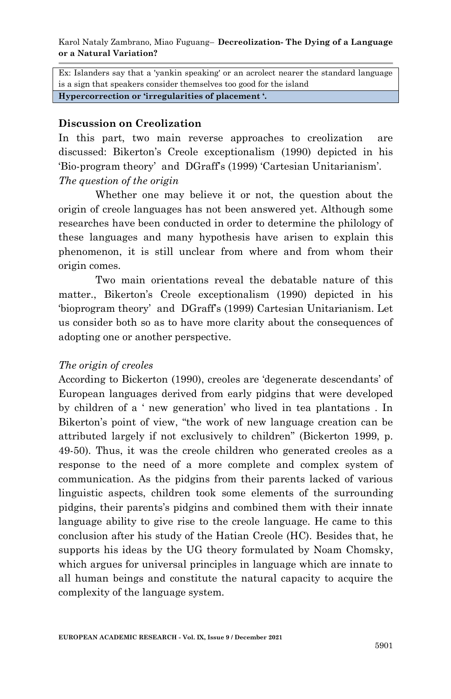Ex: Islanders say that a 'yankin speaking' or an acrolect nearer the standard language is a sign that speakers consider themselves too good for the island

**Hypercorrection or 'irregularities of placement '.**

#### **Discussion on Creolization**

In this part, two main reverse approaches to creolization are discussed: Bikerton"s Creole exceptionalism (1990) depicted in his "Bio-program theory" and DGraff's (1999) "Cartesian Unitarianism". *The question of the origin*

 Whether one may believe it or not, the question about the origin of creole languages has not been answered yet. Although some researches have been conducted in order to determine the philology of these languages and many hypothesis have arisen to explain this phenomenon, it is still unclear from where and from whom their origin comes.

 Two main orientations reveal the debatable nature of this matter., Bikerton's Creole exceptionalism (1990) depicted in his "bioprogram theory" and DGraff"s (1999) Cartesian Unitarianism. Let us consider both so as to have more clarity about the consequences of adopting one or another perspective.

#### *The origin of creoles*

According to Bickerton (1990), creoles are "degenerate descendants" of European languages derived from early pidgins that were developed by children of a " new generation" who lived in tea plantations . In Bikerton's point of view, "the work of new language creation can be attributed largely if not exclusively to children" (Bickerton 1999, p. 49-50). Thus, it was the creole children who generated creoles as a response to the need of a more complete and complex system of communication. As the pidgins from their parents lacked of various linguistic aspects, children took some elements of the surrounding pidgins, their parents"s pidgins and combined them with their innate language ability to give rise to the creole language. He came to this conclusion after his study of the Hatian Creole (HC). Besides that, he supports his ideas by the UG theory formulated by Noam Chomsky, which argues for universal principles in language which are innate to all human beings and constitute the natural capacity to acquire the complexity of the language system.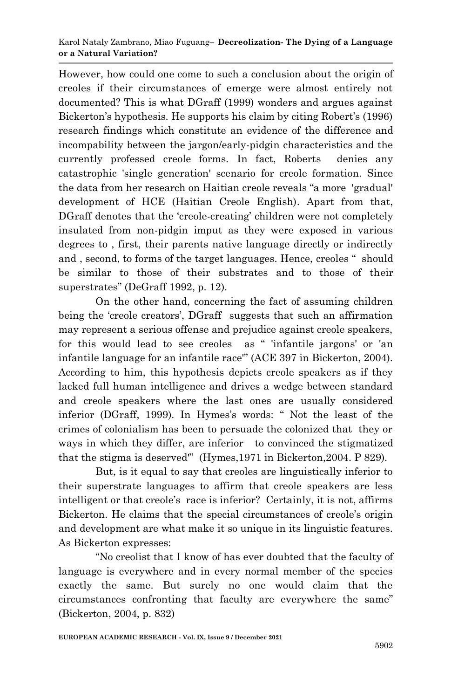However, how could one come to such a conclusion about the origin of creoles if their circumstances of emerge were almost entirely not documented? This is what DGraff (1999) wonders and argues against Bickerton's hypothesis. He supports his claim by citing Robert's (1996) research findings which constitute an evidence of the difference and incompability between the jargon/early-pidgin characteristics and the currently professed creole forms. In fact, Roberts denies any catastrophic 'single generation' scenario for creole formation. Since the data from her research on Haitian creole reveals "a more 'gradual' development of HCE (Haitian Creole English). Apart from that, DGraff denotes that the "creole-creating" children were not completely insulated from non-pidgin imput as they were exposed in various degrees to , first, their parents native language directly or indirectly and , second, to forms of the target languages. Hence, creoles " should be similar to those of their substrates and to those of their superstrates" (DeGraff 1992, p. 12).

 On the other hand, concerning the fact of assuming children being the 'creole creators', DGraff suggests that such an affirmation may represent a serious offense and prejudice against creole speakers, for this would lead to see creoles as " 'infantile jargons' or 'an infantile language for an infantile race'" (ACE 397 in Bickerton, 2004). According to him, this hypothesis depicts creole speakers as if they lacked full human intelligence and drives a wedge between standard and creole speakers where the last ones are usually considered inferior (DGraff, 1999). In Hymes's words: " Not the least of the crimes of colonialism has been to persuade the colonized that they or ways in which they differ, are inferior to convinced the stigmatized that the stigma is deserved'" (Hymes,1971 in Bickerton,2004. P 829).

 But, is it equal to say that creoles are linguistically inferior to their superstrate languages to affirm that creole speakers are less intelligent or that creole"s race is inferior? Certainly, it is not, affirms Bickerton. He claims that the special circumstances of creole"s origin and development are what make it so unique in its linguistic features. As Bickerton expresses:

"No creolist that I know of has ever doubted that the faculty of language is everywhere and in every normal member of the species exactly the same. But surely no one would claim that the circumstances confronting that faculty are everywhere the same" (Bickerton, 2004, p. 832)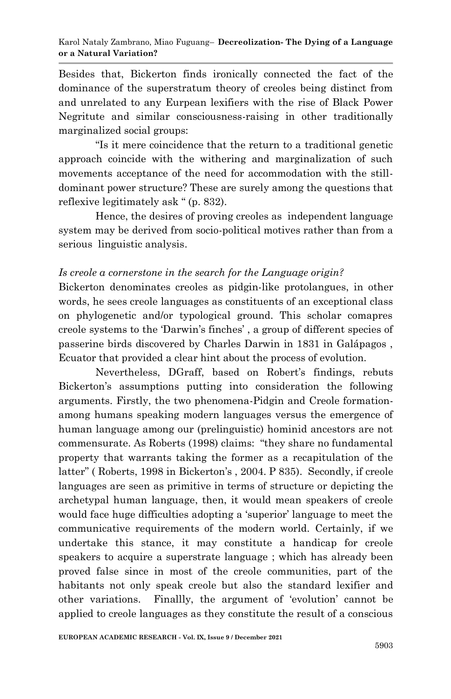Besides that, Bickerton finds ironically connected the fact of the dominance of the superstratum theory of creoles being distinct from and unrelated to any Eurpean lexifiers with the rise of Black Power Negritute and similar consciousness-raising in other traditionally marginalized social groups:

"Is it mere coincidence that the return to a traditional genetic approach coincide with the withering and marginalization of such movements acceptance of the need for accommodation with the stilldominant power structure? These are surely among the questions that reflexive legitimately ask " (p. 832).

 Hence, the desires of proving creoles as independent language system may be derived from socio-political motives rather than from a serious linguistic analysis.

#### *Is creole a cornerstone in the search for the Language origin?*

Bickerton denominates creoles as pidgin-like protolangues, in other words, he sees creole languages as constituents of an exceptional class on phylogenetic and/or typological ground. This scholar comapres creole systems to the "Darwin"s finches" , a group of different species of passerine birds discovered by Charles Darwin in 1831 in Galápagos , Ecuator that provided a clear hint about the process of evolution.

Nevertheless, DGraff, based on Robert's findings, rebuts Bickerton's assumptions putting into consideration the following arguments. Firstly, the two phenomena-Pidgin and Creole formationamong humans speaking modern languages versus the emergence of human language among our (prelinguistic) hominid ancestors are not commensurate. As Roberts (1998) claims: "they share no fundamental property that warrants taking the former as a recapitulation of the latter" (Roberts, 1998 in Bickerton's, 2004. P 835). Secondly, if creole languages are seen as primitive in terms of structure or depicting the archetypal human language, then, it would mean speakers of creole would face huge difficulties adopting a "superior" language to meet the communicative requirements of the modern world. Certainly, if we undertake this stance, it may constitute a handicap for creole speakers to acquire a superstrate language ; which has already been proved false since in most of the creole communities, part of the habitants not only speak creole but also the standard lexifier and other variations. Finallly, the argument of "evolution" cannot be applied to creole languages as they constitute the result of a conscious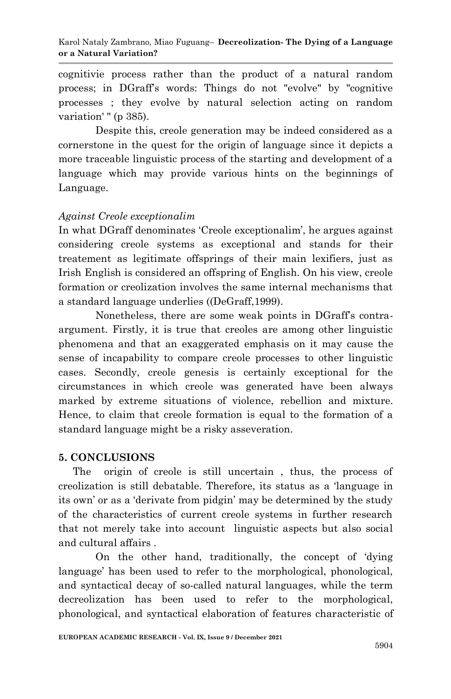cognitivie process rather than the product of a natural random process; in DGraff"s words: Things do not "evolve" by "cognitive processes ; they evolve by natural selection acting on random variation' " (p 385).

 Despite this, creole generation may be indeed considered as a cornerstone in the quest for the origin of language since it depicts a more traceable linguistic process of the starting and development of a language which may provide various hints on the beginnings of Language.

#### *Against Creole exceptionalim*

In what DGraff denominates "Creole exceptionalim", he argues against considering creole systems as exceptional and stands for their treatement as legitimate offsprings of their main lexifiers, just as Irish English is considered an offspring of English. On his view, creole formation or creolization involves the same internal mechanisms that a standard language underlies ((DeGraff,1999).

Nonetheless, there are some weak points in DGraff's contraargument. Firstly, it is true that creoles are among other linguistic phenomena and that an exaggerated emphasis on it may cause the sense of incapability to compare creole processes to other linguistic cases. Secondly, creole genesis is certainly exceptional for the circumstances in which creole was generated have been always marked by extreme situations of violence, rebellion and mixture. Hence, to claim that creole formation is equal to the formation of a standard language might be a risky asseveration.

#### **5. CONCLUSIONS**

 The origin of creole is still uncertain , thus, the process of creolization is still debatable. Therefore, its status as a "language in its own" or as a "derivate from pidgin" may be determined by the study of the characteristics of current creole systems in further research that not merely take into account linguistic aspects but also social and cultural affairs .

 On the other hand, traditionally, the concept of "dying language' has been used to refer to the morphological, phonological, and syntactical decay of so-called natural languages, while the term decreolization has been used to refer to the morphological, phonological, and syntactical elaboration of features characteristic of